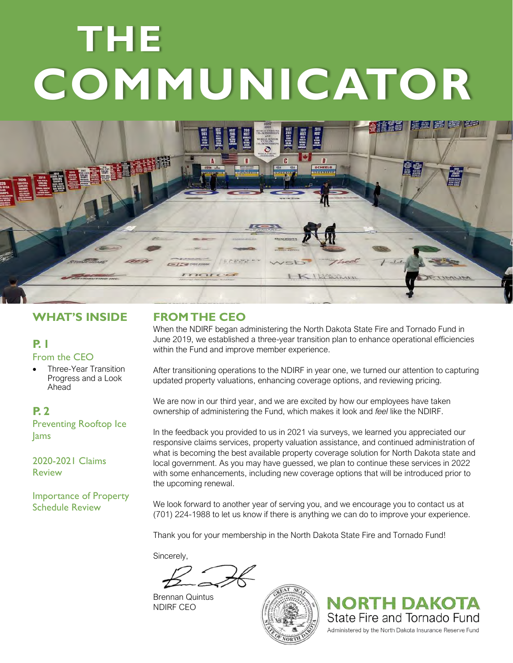# **THE COMMUNICATOR**



# **WHAT'S INSIDE**

#### **P. 1** From the CEO

• Three-Year Transition Progress and a Look Ahead

### **P. 2**

Preventing Rooftop Ice Jams

2020-2021 Claims Review

Importance of Property Schedule Review

## **FROM THE CEO**

When the NDIRF began administering the North Dakota State Fire and Tornado Fund in June 2019, we established a three-year transition plan to enhance operational efficiencies within the Fund and improve member experience.

After transitioning operations to the NDIRF in year one, we turned our attention to capturing updated property valuations, enhancing coverage options, and reviewing pricing.

We are now in our third year, and we are excited by how our employees have taken ownership of administering the Fund, which makes it look and *feel* like the NDIRF.

In the feedback you provided to us in 2021 via surveys, we learned you appreciated our responsive claims services, property valuation assistance, and continued administration of what is becoming the best available property coverage solution for North Dakota state and local government. As you may have guessed, we plan to continue these services in 2022 with some enhancements, including new coverage options that will be introduced prior to the upcoming renewal.

We look forward to another year of serving you, and we encourage you to contact us at (701) 224-1988 to let us know if there is anything we can do to improve your experience.

Thank you for your membership in the North Dakota State Fire and Tornado Fund!

Sincerely,

Brennan Quintus NDIRF CEO